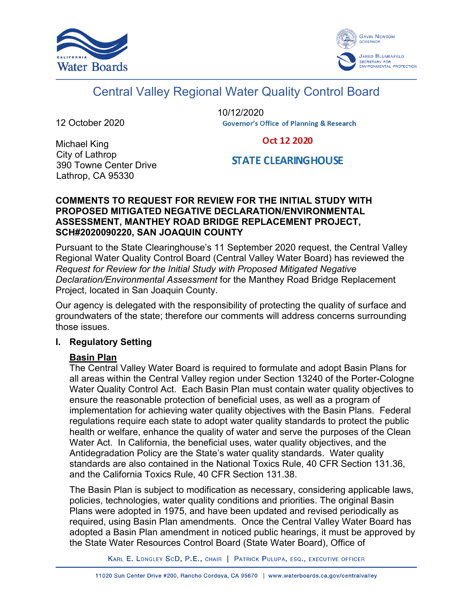



# Central Valley Regional Water Quality Control Board

12 October 2020

10/12/2020**Governor's Office of Planning & Research** 

Oct 12 2020

# Michael King City of Lathrop 390 Towne Center Drive Lathrop, CA 95330

**STATE CLEARINGHOUSE** 

# **COMMENTS TO REQUEST FOR REVIEW FOR THE INITIAL STUDY WITH PROPOSED MITIGATED NEGATIVE DECLARATION/ENVIRONMENTAL ASSESSMENT, MANTHEY ROAD BRIDGE REPLACEMENT PROJECT, SCH#2020090220, SAN JOAQUIN COUNTY**

Pursuant to the State Clearinghouse's 11 September 2020 request, the Central Valley Regional Water Quality Control Board (Central Valley Water Board) has reviewed the *Request for Review for the Initial Study with Proposed Mitigated Negative Declaration/Environmental Assessment* for the Manthey Road Bridge Replacement Project, located in San Joaquin County.

Our agency is delegated with the responsibility of protecting the quality of surface and groundwaters of the state; therefore our comments will address concerns surrounding those issues.

# **I. Regulatory Setting**

# **Basin Plan**

The Central Valley Water Board is required to formulate and adopt Basin Plans for all areas within the Central Valley region under Section 13240 of the Porter-Cologne Water Quality Control Act. Each Basin Plan must contain water quality objectives to ensure the reasonable protection of beneficial uses, as well as a program of implementation for achieving water quality objectives with the Basin Plans. Federal regulations require each state to adopt water quality standards to protect the public health or welfare, enhance the quality of water and serve the purposes of the Clean Water Act. In California, the beneficial uses, water quality objectives, and the Antidegradation Policy are the State's water quality standards. Water quality standards are also contained in the National Toxics Rule, 40 CFR Section 131.36, and the California Toxics Rule, 40 CFR Section 131.38.

The Basin Plan is subject to modification as necessary, considering applicable laws, policies, technologies, water quality conditions and priorities. The original Basin Plans were adopted in 1975, and have been updated and revised periodically as required, using Basin Plan amendments. Once the Central Valley Water Board has adopted a Basin Plan amendment in noticed public hearings, it must be approved by the State Water Resources Control Board (State Water Board), Office of

KARL E. LONGLEY SCD, P.E., CHAIR | PATRICK PULUPA, ESQ., EXECUTIVE OFFICER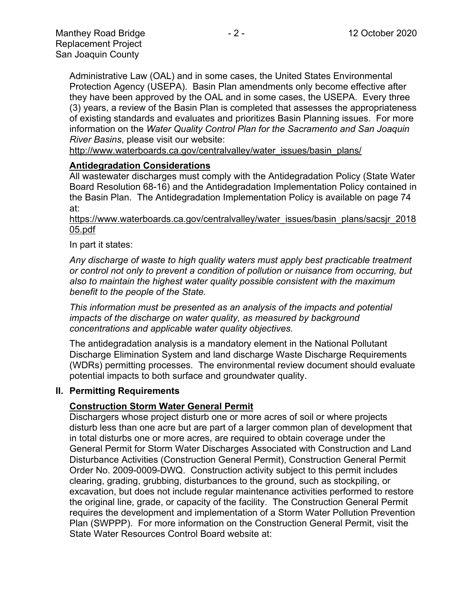Administrative Law (OAL) and in some cases, the United States Environmental Protection Agency (USEPA). Basin Plan amendments only become effective after they have been approved by the OAL and in some cases, the USEPA. Every three (3) years, a review of the Basin Plan is completed that assesses the appropriateness of existing standards and evaluates and prioritizes Basin Planning issues. For more information on the *Water Quality Control Plan for the Sacramento and San Joaquin River Basins*, please visit our website:

[http://www.waterboards.ca.gov/centralvalley/water\\_issues/basin\\_plans/](http://www.waterboards.ca.gov/centralvalley/water_issues/basin_plans/)

#### **Antidegradation Considerations**

All wastewater discharges must comply with the Antidegradation Policy (State Water Board Resolution 68-16) and the Antidegradation Implementation Policy contained in the Basin Plan. The Antidegradation Implementation Policy is available on page 74 at:

#### https://www.waterboards.ca.gov/centralvalley/water\_issues/basin\_plans/sacsjr\_2018 05.pdf

#### In part it states:

*Any discharge of waste to high quality waters must apply best practicable treatment or control not only to prevent a condition of pollution or nuisance from occurring, but also to maintain the highest water quality possible consistent with the maximum benefit to the people of the State.*

*This information must be presented as an analysis of the impacts and potential impacts of the discharge on water quality, as measured by background concentrations and applicable water quality objectives.*

The antidegradation analysis is a mandatory element in the National Pollutant Discharge Elimination System and land discharge Waste Discharge Requirements (WDRs) permitting processes. The environmental review document should evaluate potential impacts to both surface and groundwater quality.

#### **II. Permitting Requirements**

# **Construction Storm Water General Permit**

Dischargers whose project disturb one or more acres of soil or where projects disturb less than one acre but are part of a larger common plan of development that in total disturbs one or more acres, are required to obtain coverage under the General Permit for Storm Water Discharges Associated with Construction and Land Disturbance Activities (Construction General Permit), Construction General Permit Order No. 2009-0009-DWQ. Construction activity subject to this permit includes clearing, grading, grubbing, disturbances to the ground, such as stockpiling, or excavation, but does not include regular maintenance activities performed to restore the original line, grade, or capacity of the facility. The Construction General Permit requires the development and implementation of a Storm Water Pollution Prevention Plan (SWPPP). For more information on the Construction General Permit, visit the State Water Resources Control Board website at: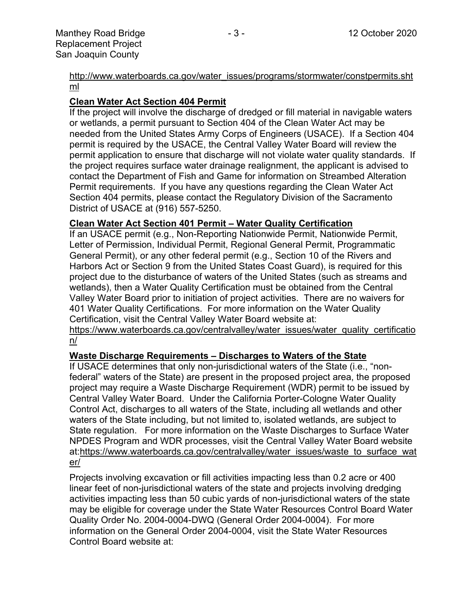[http://www.waterboards.ca.gov/water\\_issues/programs/stormwater/constpermits.sht](http://www.waterboards.ca.gov/water_issues/programs/stormwater/constpermits.shtml) [ml](http://www.waterboards.ca.gov/water_issues/programs/stormwater/constpermits.shtml)

# **Clean Water Act Section 404 Permit**

If the project will involve the discharge of dredged or fill material in navigable waters or wetlands, a permit pursuant to Section 404 of the Clean Water Act may be needed from the United States Army Corps of Engineers (USACE). If a Section 404 permit is required by the USACE, the Central Valley Water Board will review the permit application to ensure that discharge will not violate water quality standards. If the project requires surface water drainage realignment, the applicant is advised to contact the Department of Fish and Game for information on Streambed Alteration Permit requirements. If you have any questions regarding the Clean Water Act Section 404 permits, please contact the Regulatory Division of the Sacramento District of USACE at (916) 557-5250.

# **Clean Water Act Section 401 Permit – Water Quality Certification**

If an USACE permit (e.g., Non-Reporting Nationwide Permit, Nationwide Permit, Letter of Permission, Individual Permit, Regional General Permit, Programmatic General Permit), or any other federal permit (e.g., Section 10 of the Rivers and Harbors Act or Section 9 from the United States Coast Guard), is required for this project due to the disturbance of waters of the United States (such as streams and wetlands), then a Water Quality Certification must be obtained from the Central Valley Water Board prior to initiation of project activities. There are no waivers for 401 Water Quality Certifications. For more information on the Water Quality Certification, visit the Central Valley Water Board website at:

https://www.waterboards.ca.gov/centralvalley/water\_issues/water\_quality\_certificatio n/

# **Waste Discharge Requirements – Discharges to Waters of the State**

If USACE determines that only non-jurisdictional waters of the State (i.e., "nonfederal" waters of the State) are present in the proposed project area, the proposed project may require a Waste Discharge Requirement (WDR) permit to be issued by Central Valley Water Board. Under the California Porter-Cologne Water Quality Control Act, discharges to all waters of the State, including all wetlands and other waters of the State including, but not limited to, isolated wetlands, are subject to State regulation. For more information on the Waste Discharges to Surface Water NPDES Program and WDR processes, visit the Central Valley Water Board website at:https://www.waterboards.ca.gov/centralvalley/water\_issues/waste\_to\_surface\_wat er/

Projects involving excavation or fill activities impacting less than 0.2 acre or 400 linear feet of non-jurisdictional waters of the state and projects involving dredging activities impacting less than 50 cubic yards of non-jurisdictional waters of the state may be eligible for coverage under the State Water Resources Control Board Water Quality Order No. 2004-0004-DWQ (General Order 2004-0004). For more information on the General Order 2004-0004, visit the State Water Resources Control Board website at: